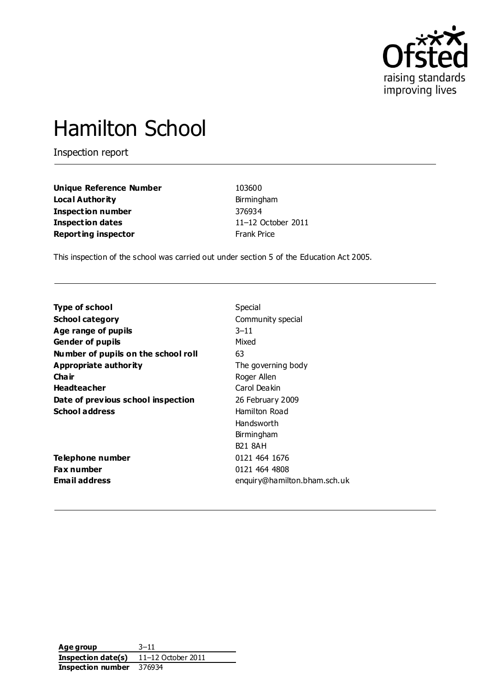

# Hamilton School

Inspection report

| <b>Unique Reference Number</b> | 103600             |
|--------------------------------|--------------------|
| <b>Local Authority</b>         | Birmingham         |
| Inspection number              | 376934             |
| Inspection dates               | $11-12$ Octo       |
| <b>Reporting inspector</b>     | <b>Frank Price</b> |

**unique Reference 103600 Local Authority** Birmingham **Inspection number** 376934 **Inspection dates** 11–12 October 2011

This inspection of the school was carried out under section 5 of the Education Act 2005.

| <b>Type of school</b>               | Special                      |
|-------------------------------------|------------------------------|
| <b>School category</b>              | Community special            |
| Age range of pupils                 | $3 - 11$                     |
| <b>Gender of pupils</b>             | Mixed                        |
| Number of pupils on the school roll | 63                           |
| Appropriate authority               | The governing body           |
| Cha ir                              | Roger Allen                  |
| <b>Headteacher</b>                  | Carol Deakin                 |
| Date of previous school inspection  | 26 February 2009             |
| <b>School address</b>               | Hamilton Road                |
|                                     | Handsworth                   |
|                                     | Birmingham                   |
|                                     | <b>B21 8AH</b>               |
| Telephone number                    | 0121 464 1676                |
| Fax number                          | 0121 464 4808                |
| Email address                       | enquiry@hamilton.bham.sch.uk |
|                                     |                              |

**Age group** 3–11 **Inspection date(s)** 11–12 October 2011 **Inspection number** 376934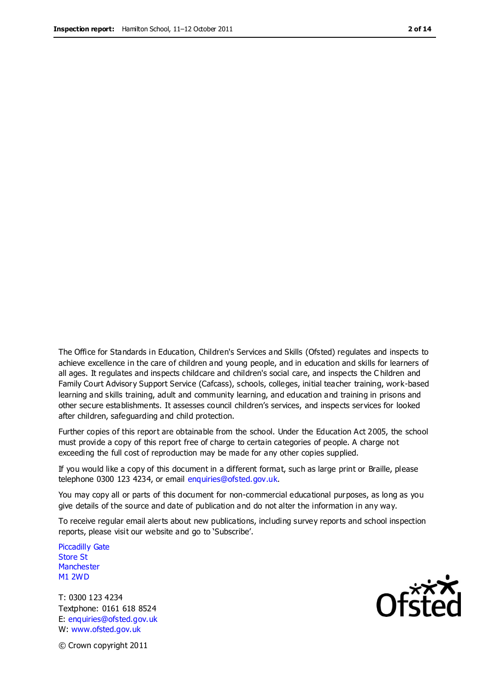The Office for Standards in Education, Children's Services and Skills (Ofsted) regulates and inspects to achieve excellence in the care of children and young people, and in education and skills for learners of all ages. It regulates and inspects childcare and children's social care, and inspects the C hildren and Family Court Advisory Support Service (Cafcass), schools, colleges, initial teacher training, work-based learning and skills training, adult and community learning, and education and training in prisons and other secure establishments. It assesses council children's services, and inspects services for looked after children, safeguarding and child protection.

Further copies of this report are obtainable from the school. Under the Education Act 2005, the school must provide a copy of this report free of charge to certain categories of people. A charge not exceeding the full cost of reproduction may be made for any other copies supplied.

If you would like a copy of this document in a different format, such as large print or Braille, please telephone 0300 123 4234, or email enquiries@ofsted.gov.uk.

You may copy all or parts of this document for non-commercial educational purposes, as long as you give details of the source and date of publication and do not alter the information in any way.

To receive regular email alerts about new publications, including survey reports and school inspection reports, please visit our website and go to 'Subscribe'.

Piccadilly Gate Store St **Manchester** M1 2WD

T: 0300 123 4234 Textphone: 0161 618 8524 E: enquiries@ofsted.gov.uk W: www.ofsted.gov.uk



© Crown copyright 2011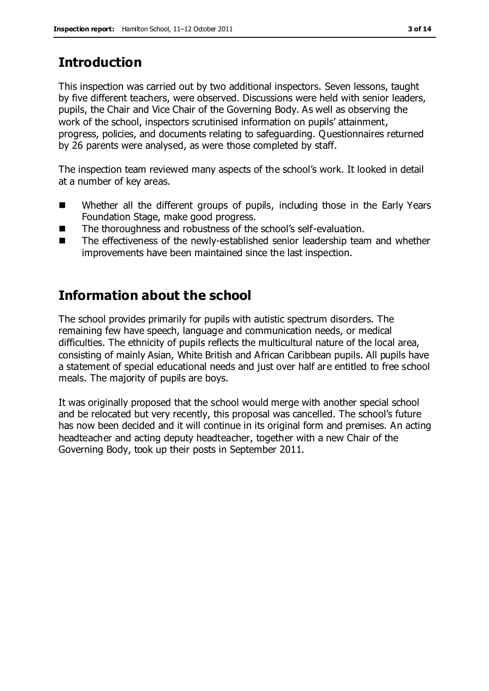# **Introduction**

This inspection was carried out by two additional inspectors. Seven lessons, taught by five different teachers, were observed. Discussions were held with senior leaders, pupils, the Chair and Vice Chair of the Governing Body. As well as observing the work of the school, inspectors scrutinised information on pupils' attainment, progress, policies, and documents relating to safeguarding. Questionnaires returned by 26 parents were analysed, as were those completed by staff.

The inspection team reviewed many aspects of the school's work. It looked in detail at a number of key areas.

- Whether all the different groups of pupils, including those in the Early Years Foundation Stage, make good progress.
- The thoroughness and robustness of the school's self-evaluation.
- The effectiveness of the newly-established senior leadership team and whether improvements have been maintained since the last inspection.

# **Information about the school**

The school provides primarily for pupils with autistic spectrum disorders. The remaining few have speech, language and communication needs, or medical difficulties. The ethnicity of pupils reflects the multicultural nature of the local area, consisting of mainly Asian, White British and African Caribbean pupils. All pupils have a statement of special educational needs and just over half are entitled to free school meals. The majority of pupils are boys.

It was originally proposed that the school would merge with another special school and be relocated but very recently, this proposal was cancelled. The school's future has now been decided and it will continue in its original form and premises. An acting headteacher and acting deputy headteacher, together with a new Chair of the Governing Body, took up their posts in September 2011.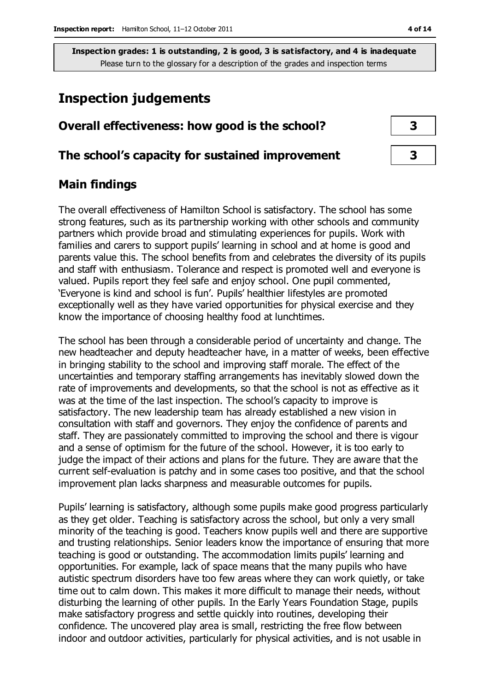# **Inspection judgements**

## **Overall effectiveness: how good is the school? 3**

#### **The school's capacity for sustained improvement 3**

## **Main findings**

The overall effectiveness of Hamilton School is satisfactory. The school has some strong features, such as its partnership working with other schools and community partners which provide broad and stimulating experiences for pupils. Work with families and carers to support pupils' learning in school and at home is good and parents value this. The school benefits from and celebrates the diversity of its pupils and staff with enthusiasm. Tolerance and respect is promoted well and everyone is valued. Pupils report they feel safe and enjoy school. One pupil commented, 'Everyone is kind and school is fun'. Pupils' healthier lifestyles are promoted exceptionally well as they have varied opportunities for physical exercise and they know the importance of choosing healthy food at lunchtimes.

The school has been through a considerable period of uncertainty and change. The new headteacher and deputy headteacher have, in a matter of weeks, been effective in bringing stability to the school and improving staff morale. The effect of the uncertainties and temporary staffing arrangements has inevitably slowed down the rate of improvements and developments, so that the school is not as effective as it was at the time of the last inspection. The school's capacity to improve is satisfactory. The new leadership team has already established a new vision in consultation with staff and governors. They enjoy the confidence of parents and staff. They are passionately committed to improving the school and there is vigour and a sense of optimism for the future of the school. However, it is too early to judge the impact of their actions and plans for the future. They are aware that the current self-evaluation is patchy and in some cases too positive, and that the school improvement plan lacks sharpness and measurable outcomes for pupils.

Pupils' learning is satisfactory, although some pupils make good progress particularly as they get older. Teaching is satisfactory across the school, but only a very small minority of the teaching is good. Teachers know pupils well and there are supportive and trusting relationships. Senior leaders know the importance of ensuring that more teaching is good or outstanding. The accommodation limits pupils' learning and opportunities. For example, lack of space means that the many pupils who have autistic spectrum disorders have too few areas where they can work quietly, or take time out to calm down. This makes it more difficult to manage their needs, without disturbing the learning of other pupils. In the Early Years Foundation Stage, pupils make satisfactory progress and settle quickly into routines, developing their confidence. The uncovered play area is small, restricting the free flow between indoor and outdoor activities, particularly for physical activities, and is not usable in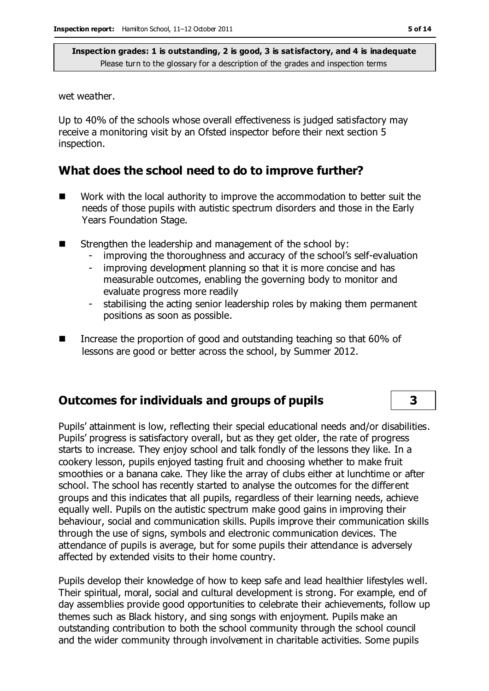wet weather.

Up to 40% of the schools whose overall effectiveness is judged satisfactory may receive a monitoring visit by an Ofsted inspector before their next section 5 inspection.

#### **What does the school need to do to improve further?**

- Work with the local authority to improve the accommodation to better suit the needs of those pupils with autistic spectrum disorders and those in the Early Years Foundation Stage.
- Strengthen the leadership and management of the school by:
	- improving the thoroughness and accuracy of the school's self-evaluation
	- improving development planning so that it is more concise and has measurable outcomes, enabling the governing body to monitor and evaluate progress more readily
	- stabilising the acting senior leadership roles by making them permanent positions as soon as possible.
- Increase the proportion of good and outstanding teaching so that 60% of lessons are good or better across the school, by Summer 2012.

#### **Outcomes for individuals and groups of pupils 3**

Pupils' attainment is low, reflecting their special educational needs and/or disabilities. Pupils' progress is satisfactory overall, but as they get older, the rate of progress starts to increase. They enjoy school and talk fondly of the lessons they like. In a cookery lesson, pupils enjoyed tasting fruit and choosing whether to make fruit smoothies or a banana cake. They like the array of clubs either at lunchtime or after school. The school has recently started to analyse the outcomes for the different groups and this indicates that all pupils, regardless of their learning needs, achieve equally well. Pupils on the autistic spectrum make good gains in improving their behaviour, social and communication skills. Pupils improve their communication skills through the use of signs, symbols and electronic communication devices. The attendance of pupils is average, but for some pupils their attendance is adversely affected by extended visits to their home country.

Pupils develop their knowledge of how to keep safe and lead healthier lifestyles well. Their spiritual, moral, social and cultural development is strong. For example, end of day assemblies provide good opportunities to celebrate their achievements, follow up themes such as Black history, and sing songs with enjoyment. Pupils make an outstanding contribution to both the school community through the school council and the wider community through involvement in charitable activities. Some pupils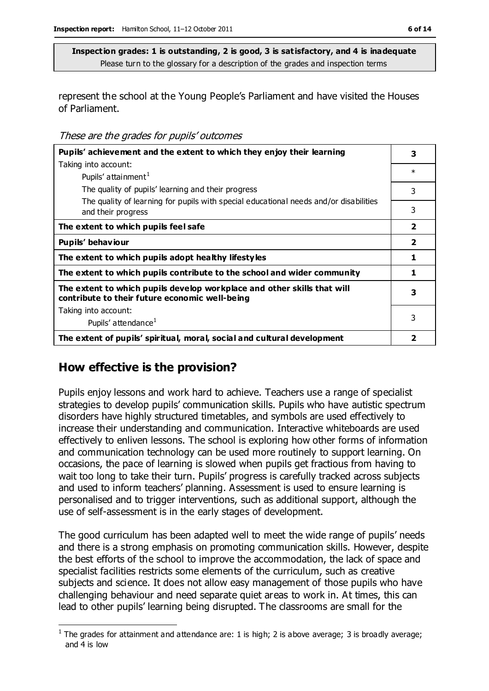represent the school at the Young People's Parliament and have visited the Houses of Parliament.

These are the grades for pupils' outcomes

| Pupils' achievement and the extent to which they enjoy their learning                                                     | 3                       |
|---------------------------------------------------------------------------------------------------------------------------|-------------------------|
| Taking into account:                                                                                                      | $\ast$                  |
| Pupils' attainment <sup>1</sup>                                                                                           |                         |
| The quality of pupils' learning and their progress                                                                        | 3                       |
| The quality of learning for pupils with special educational needs and/or disabilities<br>and their progress               | 3                       |
| The extent to which pupils feel safe                                                                                      | $\overline{\mathbf{2}}$ |
| Pupils' behaviour                                                                                                         | $\overline{\mathbf{2}}$ |
| The extent to which pupils adopt healthy lifestyles                                                                       | 1                       |
| The extent to which pupils contribute to the school and wider community                                                   | 1                       |
| The extent to which pupils develop workplace and other skills that will<br>contribute to their future economic well-being | 3                       |
| Taking into account:                                                                                                      |                         |
| Pupils' attendance <sup>1</sup>                                                                                           | 3                       |
| The extent of pupils' spiritual, moral, social and cultural development                                                   | 2                       |

## **How effective is the provision?**

Pupils enjoy lessons and work hard to achieve. Teachers use a range of specialist strategies to develop pupils' communication skills. Pupils who have autistic spectrum disorders have highly structured timetables, and symbols are used effectively to increase their understanding and communication. Interactive whiteboards are used effectively to enliven lessons. The school is exploring how other forms of information and communication technology can be used more routinely to support learning. On occasions, the pace of learning is slowed when pupils get fractious from having to wait too long to take their turn. Pupils' progress is carefully tracked across subjects and used to inform teachers' planning. Assessment is used to ensure learning is personalised and to trigger interventions, such as additional support, although the use of self-assessment is in the early stages of development.

The good curriculum has been adapted well to meet the wide range of pupils' needs and there is a strong emphasis on promoting communication skills. However, despite the best efforts of the school to improve the accommodation, the lack of space and specialist facilities restricts some elements of the curriculum, such as creative subjects and science. It does not allow easy management of those pupils who have challenging behaviour and need separate quiet areas to work in. At times, this can lead to other pupils' learning being disrupted. The classrooms are small for the

 $\overline{a}$ <sup>1</sup> The grades for attainment and attendance are: 1 is high; 2 is above average; 3 is broadly average; and 4 is low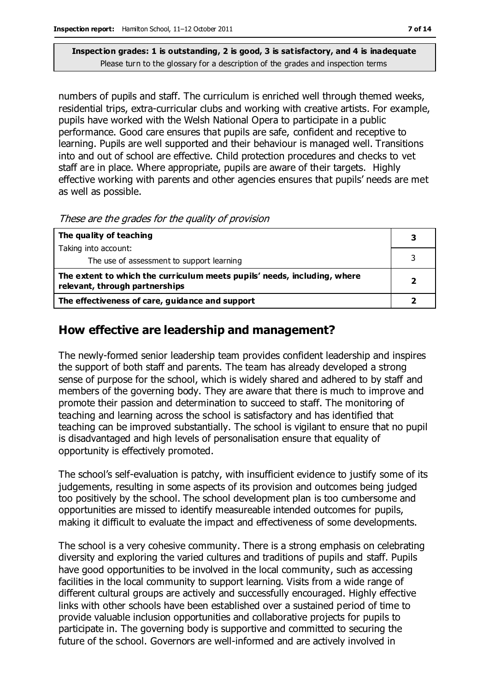numbers of pupils and staff. The curriculum is enriched well through themed weeks, residential trips, extra-curricular clubs and working with creative artists. For example, pupils have worked with the Welsh National Opera to participate in a public performance. Good care ensures that pupils are safe, confident and receptive to learning. Pupils are well supported and their behaviour is managed well. Transitions into and out of school are effective. Child protection procedures and checks to vet staff are in place. Where appropriate, pupils are aware of their targets. Highly effective working with parents and other agencies ensures that pupils' needs are met as well as possible.

These are the grades for the quality of provision

| The quality of teaching                                                                                    |  |
|------------------------------------------------------------------------------------------------------------|--|
| Taking into account:                                                                                       |  |
| The use of assessment to support learning                                                                  |  |
| The extent to which the curriculum meets pupils' needs, including, where<br>relevant, through partnerships |  |
| The effectiveness of care, guidance and support                                                            |  |

## **How effective are leadership and management?**

The newly-formed senior leadership team provides confident leadership and inspires the support of both staff and parents. The team has already developed a strong sense of purpose for the school, which is widely shared and adhered to by staff and members of the governing body. They are aware that there is much to improve and promote their passion and determination to succeed to staff. The monitoring of teaching and learning across the school is satisfactory and has identified that teaching can be improved substantially. The school is vigilant to ensure that no pupil is disadvantaged and high levels of personalisation ensure that equality of opportunity is effectively promoted.

The school's self-evaluation is patchy, with insufficient evidence to justify some of its judgements, resulting in some aspects of its provision and outcomes being judged too positively by the school. The school development plan is too cumbersome and opportunities are missed to identify measureable intended outcomes for pupils, making it difficult to evaluate the impact and effectiveness of some developments.

The school is a very cohesive community. There is a strong emphasis on celebrating diversity and exploring the varied cultures and traditions of pupils and staff. Pupils have good opportunities to be involved in the local community, such as accessing facilities in the local community to support learning. Visits from a wide range of different cultural groups are actively and successfully encouraged. Highly effective links with other schools have been established over a sustained period of time to provide valuable inclusion opportunities and collaborative projects for pupils to participate in. The governing body is supportive and committed to securing the future of the school. Governors are well-informed and are actively involved in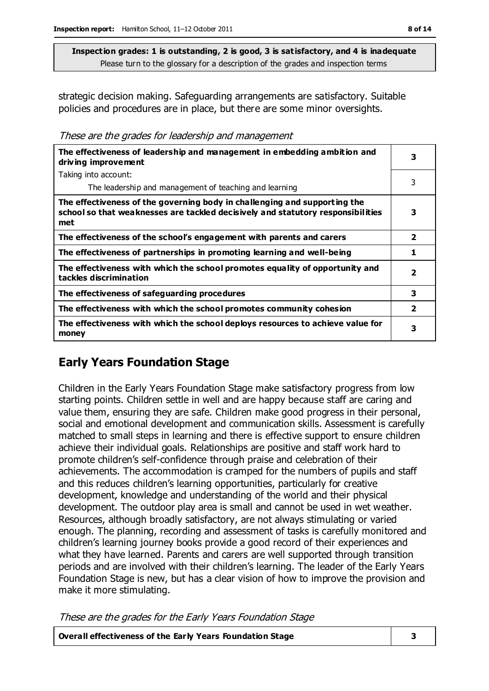strategic decision making. Safeguarding arrangements are satisfactory. Suitable policies and procedures are in place, but there are some minor oversights.

These are the grades for leadership and management

| The effectiveness of leadership and management in embedding ambition and<br>driving improvement                                                                     | 3                       |
|---------------------------------------------------------------------------------------------------------------------------------------------------------------------|-------------------------|
| Taking into account:                                                                                                                                                |                         |
| The leadership and management of teaching and learning                                                                                                              | 3                       |
| The effectiveness of the governing body in challenging and supporting the<br>school so that weaknesses are tackled decisively and statutory responsibilities<br>met | 3                       |
| The effectiveness of the school's engagement with parents and carers                                                                                                | $\overline{\mathbf{2}}$ |
| The effectiveness of partnerships in promoting learning and well-being                                                                                              | 1                       |
| The effectiveness with which the school promotes equality of opportunity and<br>tackles discrimination                                                              | $\overline{\mathbf{2}}$ |
| The effectiveness of safeguarding procedures                                                                                                                        | 3                       |
| The effectiveness with which the school promotes community cohesion                                                                                                 | $\overline{2}$          |
| The effectiveness with which the school deploys resources to achieve value for<br>money                                                                             | 3                       |

# **Early Years Foundation Stage**

Children in the Early Years Foundation Stage make satisfactory progress from low starting points. Children settle in well and are happy because staff are caring and value them, ensuring they are safe. Children make good progress in their personal, social and emotional development and communication skills. Assessment is carefully matched to small steps in learning and there is effective support to ensure children achieve their individual goals. Relationships are positive and staff work hard to promote children's self-confidence through praise and celebration of their achievements. The accommodation is cramped for the numbers of pupils and staff and this reduces children's learning opportunities, particularly for creative development, knowledge and understanding of the world and their physical development. The outdoor play area is small and cannot be used in wet weather. Resources, although broadly satisfactory, are not always stimulating or varied enough. The planning, recording and assessment of tasks is carefully monitored and children's learning journey books provide a good record of their experiences and what they have learned. Parents and carers are well supported through transition periods and are involved with their children's learning. The leader of the Early Years Foundation Stage is new, but has a clear vision of how to improve the provision and make it more stimulating.

These are the grades for the Early Years Foundation Stage

| Overall effectiveness of the Early Years Foundation Stage |  |
|-----------------------------------------------------------|--|
|-----------------------------------------------------------|--|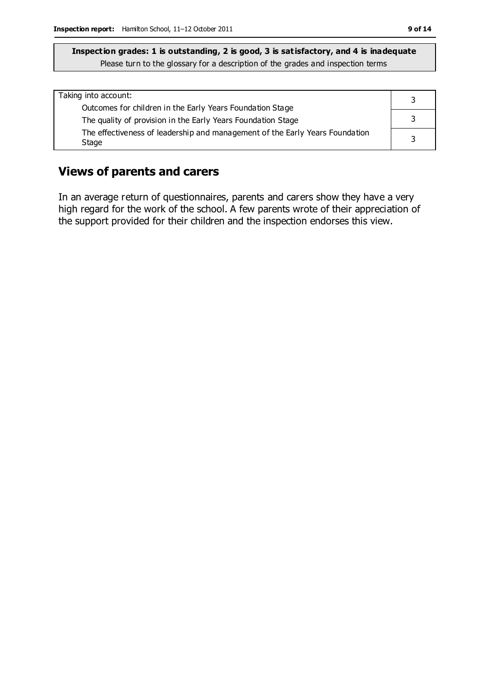| Taking into account:                                                                  |   |
|---------------------------------------------------------------------------------------|---|
| Outcomes for children in the Early Years Foundation Stage                             |   |
| The quality of provision in the Early Years Foundation Stage                          |   |
| The effectiveness of leadership and management of the Early Years Foundation<br>Stage | 2 |

## **Views of parents and carers**

In an average return of questionnaires, parents and carers show they have a very high regard for the work of the school. A few parents wrote of their appreciation of the support provided for their children and the inspection endorses this view.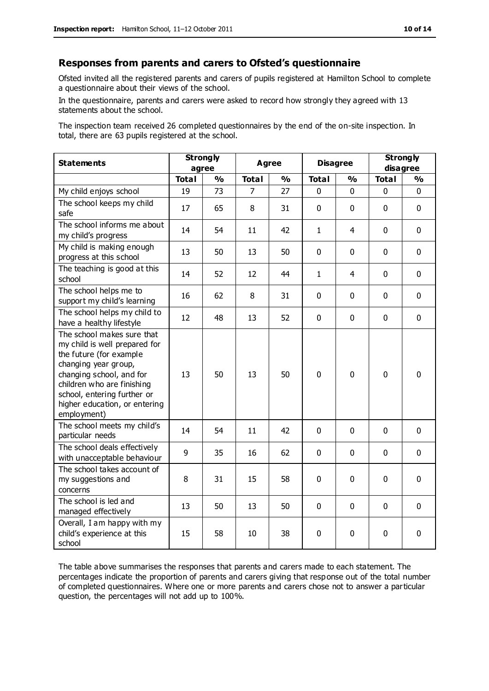#### **Responses from parents and carers to Ofsted's questionnaire**

Ofsted invited all the registered parents and carers of pupils registered at Hamilton School to complete a questionnaire about their views of the school.

In the questionnaire, parents and carers were asked to record how strongly they agreed with 13 statements about the school.

The inspection team received 26 completed questionnaires by the end of the on-site inspection. In total, there are 63 pupils registered at the school.

| <b>Statements</b>                                                                                                                                                                                                                                       | <b>Strongly</b><br>agree |               | <b>Agree</b> |               | <b>Disagree</b> |                | <b>Strongly</b><br>disagree |               |
|---------------------------------------------------------------------------------------------------------------------------------------------------------------------------------------------------------------------------------------------------------|--------------------------|---------------|--------------|---------------|-----------------|----------------|-----------------------------|---------------|
|                                                                                                                                                                                                                                                         | <b>Total</b>             | $\frac{0}{0}$ | <b>Total</b> | $\frac{1}{2}$ | <b>Total</b>    | $\frac{0}{0}$  | <b>Total</b>                | $\frac{1}{2}$ |
| My child enjoys school                                                                                                                                                                                                                                  | 19                       | 73            | 7            | 27            | 0               | 0              | 0                           | $\Omega$      |
| The school keeps my child<br>safe                                                                                                                                                                                                                       | 17                       | 65            | 8            | 31            | $\mathbf 0$     | $\mathbf 0$    | $\mathbf{0}$                | $\mathbf 0$   |
| The school informs me about<br>my child's progress                                                                                                                                                                                                      | 14                       | 54            | 11           | 42            | $\mathbf{1}$    | 4              | $\mathbf 0$                 | $\mathbf 0$   |
| My child is making enough<br>progress at this school                                                                                                                                                                                                    | 13                       | 50            | 13           | 50            | 0               | 0              | $\mathbf 0$                 | $\mathbf 0$   |
| The teaching is good at this<br>school                                                                                                                                                                                                                  | 14                       | 52            | 12           | 44            | $\mathbf{1}$    | $\overline{4}$ | $\mathbf 0$                 | $\mathbf 0$   |
| The school helps me to<br>support my child's learning                                                                                                                                                                                                   | 16                       | 62            | 8            | 31            | 0               | $\mathbf 0$    | $\mathbf 0$                 | $\mathbf 0$   |
| The school helps my child to<br>have a healthy lifestyle                                                                                                                                                                                                | 12                       | 48            | 13           | 52            | 0               | $\mathbf 0$    | $\mathbf 0$                 | $\mathbf 0$   |
| The school makes sure that<br>my child is well prepared for<br>the future (for example<br>changing year group,<br>changing school, and for<br>children who are finishing<br>school, entering further or<br>higher education, or entering<br>employment) | 13                       | 50            | 13           | 50            | 0               | $\mathbf 0$    | $\mathbf 0$                 | $\mathbf 0$   |
| The school meets my child's<br>particular needs                                                                                                                                                                                                         | 14                       | 54            | 11           | 42            | $\mathbf 0$     | $\mathbf 0$    | $\mathbf 0$                 | $\mathbf 0$   |
| The school deals effectively<br>with unacceptable behaviour                                                                                                                                                                                             | 9                        | 35            | 16           | 62            | $\mathbf 0$     | $\mathbf 0$    | $\mathbf 0$                 | $\mathbf 0$   |
| The school takes account of<br>my suggestions and<br>concerns                                                                                                                                                                                           | 8                        | 31            | 15           | 58            | 0               | $\mathbf 0$    | $\mathbf 0$                 | $\mathbf 0$   |
| The school is led and<br>managed effectively                                                                                                                                                                                                            | 13                       | 50            | 13           | 50            | $\pmb{0}$       | $\mathbf 0$    | $\mathbf 0$                 | $\mathbf 0$   |
| Overall, I am happy with my<br>child's experience at this<br>school                                                                                                                                                                                     | 15                       | 58            | 10           | 38            | 0               | $\mathbf 0$    | $\mathbf 0$                 | 0             |

The table above summarises the responses that parents and carers made to each statement. The percentages indicate the proportion of parents and carers giving that resp onse out of the total number of completed questionnaires. Where one or more parents and carers chose not to answer a particular question, the percentages will not add up to 100%.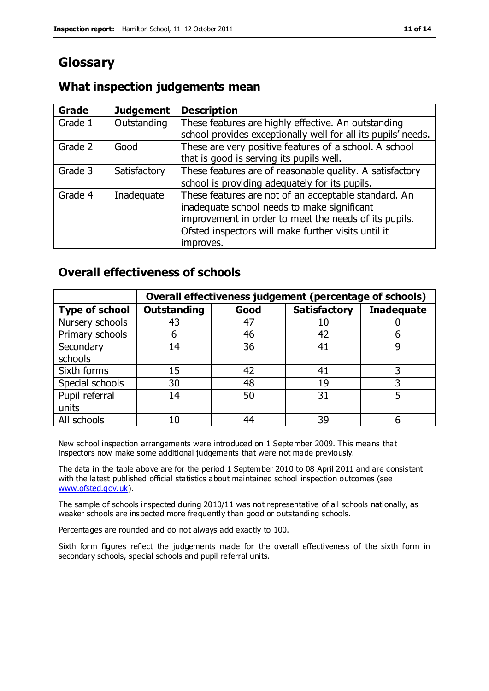# **Glossary**

## **What inspection judgements mean**

| <b>Grade</b> | <b>Judgement</b> | <b>Description</b>                                                                                                                                                                                                               |
|--------------|------------------|----------------------------------------------------------------------------------------------------------------------------------------------------------------------------------------------------------------------------------|
| Grade 1      | Outstanding      | These features are highly effective. An outstanding<br>school provides exceptionally well for all its pupils' needs.                                                                                                             |
| Grade 2      | Good             | These are very positive features of a school. A school<br>that is good is serving its pupils well.                                                                                                                               |
| Grade 3      | Satisfactory     | These features are of reasonable quality. A satisfactory<br>school is providing adequately for its pupils.                                                                                                                       |
| Grade 4      | Inadequate       | These features are not of an acceptable standard. An<br>inadequate school needs to make significant<br>improvement in order to meet the needs of its pupils.<br>Ofsted inspectors will make further visits until it<br>improves. |

## **Overall effectiveness of schools**

|                       | Overall effectiveness judgement (percentage of schools) |      |                     |                   |
|-----------------------|---------------------------------------------------------|------|---------------------|-------------------|
| <b>Type of school</b> | <b>Outstanding</b>                                      | Good | <b>Satisfactory</b> | <b>Inadequate</b> |
| Nursery schools       | 43                                                      | 47   | 10                  |                   |
| Primary schools       | 6                                                       | 46   | 42                  |                   |
| Secondary             | 14                                                      | 36   | 41                  |                   |
| schools               |                                                         |      |                     |                   |
| Sixth forms           | 15                                                      | 42   | 41                  | 3                 |
| Special schools       | 30                                                      | 48   | 19                  |                   |
| Pupil referral        | 14                                                      | 50   | 31                  |                   |
| units                 |                                                         |      |                     |                   |
| All schools           | 10                                                      | 44   | 39                  |                   |

New school inspection arrangements were introduced on 1 September 2009. This means that inspectors now make some additional judgements that were not made previously.

The data in the table above are for the period 1 September 2010 to 08 April 2011 and are consistent with the latest published official statistics about maintained school inspection outcomes (see [www.ofsted.gov.uk\)](http://www.ofsted.gov.uk/).

The sample of schools inspected during 2010/11 was not representative of all schools nationally, as weaker schools are inspected more frequently than good or outstanding schools.

Percentages are rounded and do not always add exactly to 100.

Sixth form figures reflect the judgements made for the overall effectiveness of the sixth form in secondary schools, special schools and pupil referral units.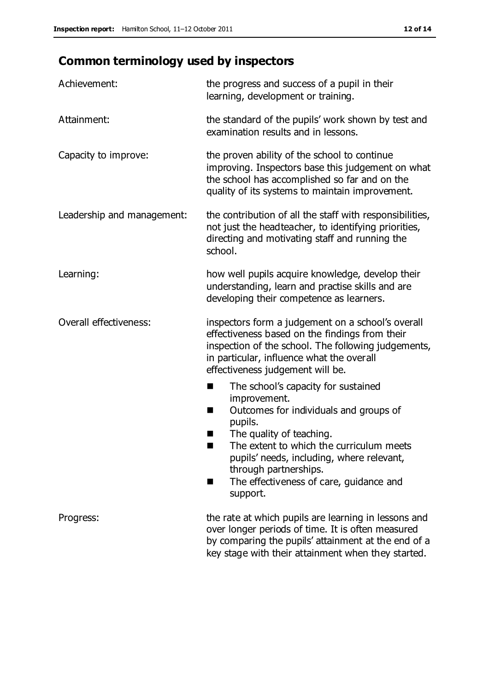# **Common terminology used by inspectors**

| Achievement:               | the progress and success of a pupil in their<br>learning, development or training.                                                                                                                                                                                                                                           |  |  |
|----------------------------|------------------------------------------------------------------------------------------------------------------------------------------------------------------------------------------------------------------------------------------------------------------------------------------------------------------------------|--|--|
| Attainment:                | the standard of the pupils' work shown by test and<br>examination results and in lessons.                                                                                                                                                                                                                                    |  |  |
| Capacity to improve:       | the proven ability of the school to continue<br>improving. Inspectors base this judgement on what<br>the school has accomplished so far and on the<br>quality of its systems to maintain improvement.                                                                                                                        |  |  |
| Leadership and management: | the contribution of all the staff with responsibilities,<br>not just the headteacher, to identifying priorities,<br>directing and motivating staff and running the<br>school.                                                                                                                                                |  |  |
| Learning:                  | how well pupils acquire knowledge, develop their<br>understanding, learn and practise skills and are<br>developing their competence as learners.                                                                                                                                                                             |  |  |
| Overall effectiveness:     | inspectors form a judgement on a school's overall<br>effectiveness based on the findings from their<br>inspection of the school. The following judgements,<br>in particular, influence what the overall<br>effectiveness judgement will be.                                                                                  |  |  |
|                            | The school's capacity for sustained<br>×<br>improvement.<br>Outcomes for individuals and groups of<br>п<br>pupils.<br>The quality of teaching.<br>The extent to which the curriculum meets<br>pupils' needs, including, where relevant,<br>through partnerships.<br>The effectiveness of care, guidance and<br>ш<br>support. |  |  |
| Progress:                  | the rate at which pupils are learning in lessons and<br>over longer periods of time. It is often measured<br>by comparing the pupils' attainment at the end of a<br>key stage with their attainment when they started.                                                                                                       |  |  |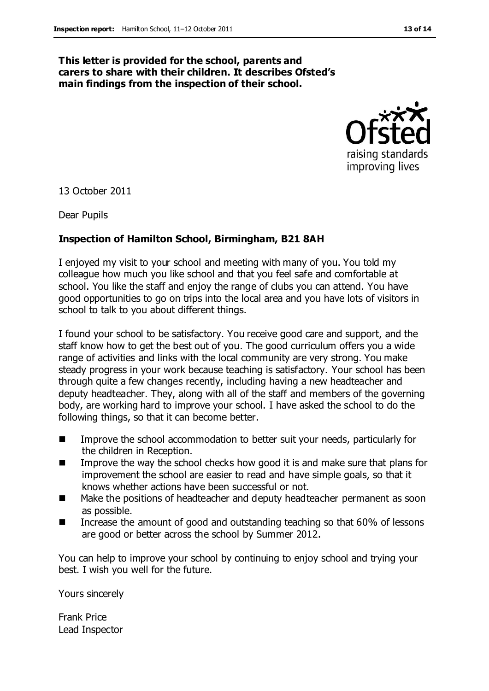#### **This letter is provided for the school, parents and carers to share with their children. It describes Ofsted's main findings from the inspection of their school.**



13 October 2011

Dear Pupils

#### **Inspection of Hamilton School, Birmingham, B21 8AH**

I enjoyed my visit to your school and meeting with many of you. You told my colleague how much you like school and that you feel safe and comfortable at school. You like the staff and enjoy the range of clubs you can attend. You have good opportunities to go on trips into the local area and you have lots of visitors in school to talk to you about different things.

I found your school to be satisfactory. You receive good care and support, and the staff know how to get the best out of you. The good curriculum offers you a wide range of activities and links with the local community are very strong. You make steady progress in your work because teaching is satisfactory. Your school has been through quite a few changes recently, including having a new headteacher and deputy headteacher. They, along with all of the staff and members of the governing body, are working hard to improve your school. I have asked the school to do the following things, so that it can become better.

- **IMPROVE THE SCHOOL ACCOMMODATION TO BETTER SUIT YOUT NEEDS, particularly for** the children in Reception.
- **IMPROVE THE WAY the school checks how good it is and make sure that plans for** improvement the school are easier to read and have simple goals, so that it knows whether actions have been successful or not.
- Make the positions of headteacher and deputy headteacher permanent as soon as possible.
- Increase the amount of good and outstanding teaching so that 60% of lessons are good or better across the school by Summer 2012.

You can help to improve your school by continuing to enjoy school and trying your best. I wish you well for the future.

Yours sincerely

Frank Price Lead Inspector